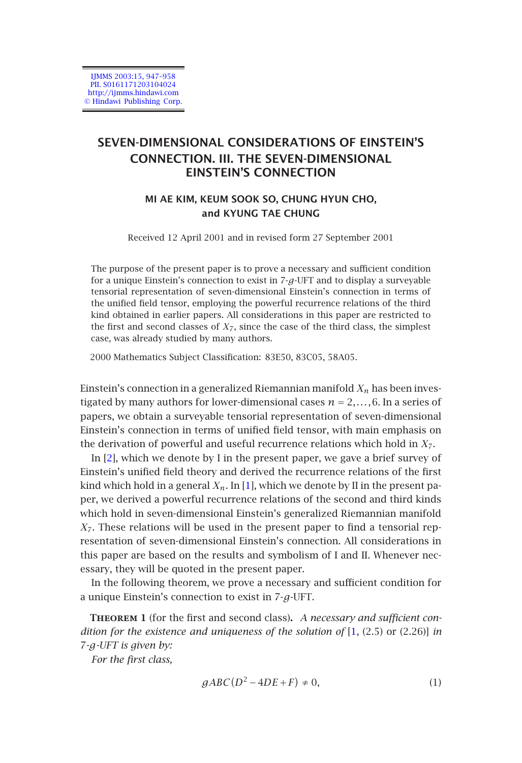IJMMS 2003:15, 947–958 PII. S0161171203104024 http://ijmms.hindawi.com © Hindawi Publishing Corp.

# **SEVEN-DIMENSIONAL CONSIDERATIONS OF EINSTEIN'S CONNECTION. III. THE SEVEN-DIMENSIONAL EINSTEIN'S CONNECTION**

## **MI AE KIM, KEUM SOOK SO, CHUNG HYUN CHO, and KYUNG TAE CHUNG**

Received 12 April 2001 and in revised form 27 September 2001

The purpose of the present paper is to prove a necessary and sufficient condition for a unique Einstein's connection to exist in 7-*g*-UFT and to display a surveyable tensorial representation of seven-dimensional Einstein's connection in terms of the unified field tensor, employing the powerful recurrence relations of the third kind obtained in earlier papers. All considerations in this paper are restricted to the first and second classes of  $X_7$ , since the case of the third class, the simplest cas[e,](#page-11-0) was already studied by many authors.

2000 Mathematics Subject Classifica[tio](#page-11-1)n: 83E50, 83C05, 58A05.

Einstein's connection in a generalized Riemannian manifold  $X_n$  has been investigated by many authors for lower-dimensional cases  $n = 2, \ldots, 6$ . In a series of papers, we obtain a surveyable tensorial representation of seven-dimensional Einstein's connection in terms of unified field tensor, with main emphasis on the derivation of powerful and useful recurrence relations which hold in *X*7.

In [2], which we denote by I in the present paper, we gave a brief survey of Einstein's unified field theory and derived the recurrence relations of the first kind which hold in a general  $X_n$ . In [1], which we denote by II in the present paper, we derived a powerful recurrence relations of the second and third kinds which hold in seven-dimensional Einstein's generalized R[iem](#page-11-1)annian manifold *X*7. These relations will be used in the present paper to find a tensorial representation of seven-dimensional Einstein's connection. All considerations in this paper are based on the results and symbolism of I and II. Whenever necessary, they will be quoted in the present paper.

<span id="page-0-0"></span>In the following theorem, we prove a necessary and sufficient condition for a unique Einstein's connection to exist in 7-*g*-UFT.

**Theorem 1** (for the first and second class)**.** *A necessary and sufficient condition for the existence and uniqueness of the solution of* [1, (2.5) or (2.26)] *in* <sup>7</sup>*-g-UFT is given by:*

*For the first class,*

$$
gABC(D^2-4DE+F) \neq 0,\t\t(1)
$$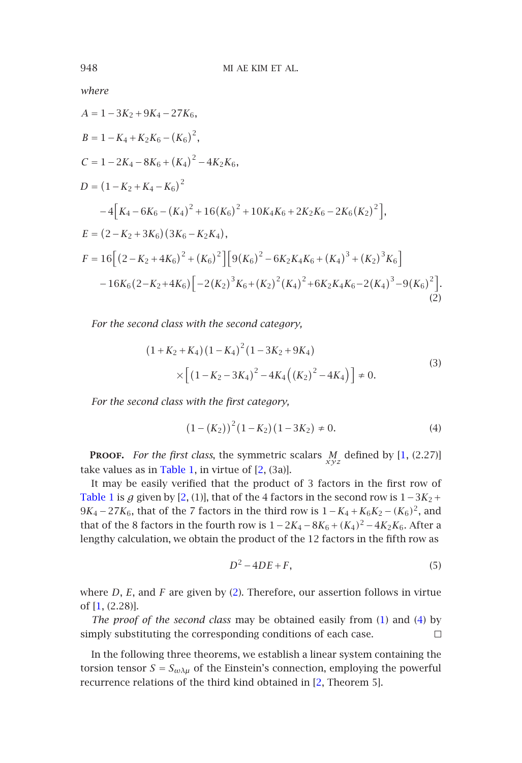where  
\n
$$
A = 1 - 3K_2 + 9K_4 - 27K_6,
$$
\n
$$
B = 1 - K_4 + K_2K_6 - (K_6)^2
$$

$$
C = 1 - 2K_4 - 8K_6 + (K_4)^2 - 4K_2K_6,
$$
  
\n
$$
D = (1 - K_2 + K_4 - K_6)^2
$$
  
\n
$$
-4[K_4 - 6K_6 - (K_4)^2 + 16(K_6)^2 + 10K_4K_6 + 2K_2K_6 - 2K_6(K_2)^2],
$$
  
\n
$$
E = (2 - K_2 + 3K_6)(3K_6 - K_2K_4),
$$
  
\n
$$
F = 16[(2 - K_2 + 4K_6)^2 + (K_6)^2][9(K_6)^2 - 6K_2K_4K_6 + (K_4)^3 + (K_2)^3K_6]
$$
  
\n
$$
-16K_6(2 - K_2 + 4K_6)[-2(K_2)^3K_6 + (K_2)^2(K_4)^2 + 6K_2K_4K_6 - 2(K_4)^3 - 9(K_6)^2].
$$
  
\n(2)

*For the second class with the second category,*

<span id="page-1-2"></span>*,*

<span id="page-1-1"></span>
$$
(1 + K_2 + K_4) (1 - K_4)^2 (1 - 3K_2 + 9K_4)
$$
  
 
$$
\times \left[ (1 - K_2 - 3K_4)^2 - 4K_4 ((K_2)^2 - 4K_4) \right] \neq 0.
$$
 (3)

*For the second class with the first category,*

$$
(1 - (K_2))^2 (1 - K_2) (1 - 3K_2) \neq 0.
$$
 (4)

**Proof.** *For the first class*, the symmetric scalars *M xyz* defined by [1, (2.27)] take val[ue](#page-1-0)s as in Table 1, in virtue of  $[2, (3a)]$ .

I[t m](#page-11-1)ay be easily verified that the product of 3 factors in the first row of Table 1 is  $g$  given by [2, (1)], that of the 4 factors in the second r[ow](#page-0-0) is  $1-3K_2+$  $1-3K_2+$  $1-3K_2+$ <sup>9</sup>*K*<sup>4</sup> <sup>−</sup>27*K*6, that of the 7 factors in the third row is 1−*K*<sup>4</sup> <sup>+</sup>*K*6*K*<sup>2</sup> <sup>−</sup>*(K*6*)*2, and that of the 8 factors in the fourth row is  $1-2K_4-8K_6+(K_4)^2-4K_2K_6$ . After a lengthy calculation, we obtain the product of the 12 factors in the fifth row as

$$
D^2 - 4DE + F,\tag{5}
$$

where *D*, *E*, and *F* are given by (2). Therefore, our assertion follows in virtue of [1, (2.28)].

*The proof of the second class* may be obtained easily from (1) and (4) by simply substituting the corresponding conditions of each case.  $\Box$ 

In the following three theorems, we establish a linear system containing the torsion tensor  $S = S_{\omega \lambda \mu}$  of the Einstein's connection, employing the powerful recurrence relations of the third kind obtained in [2, Theorem 5].

<span id="page-1-0"></span>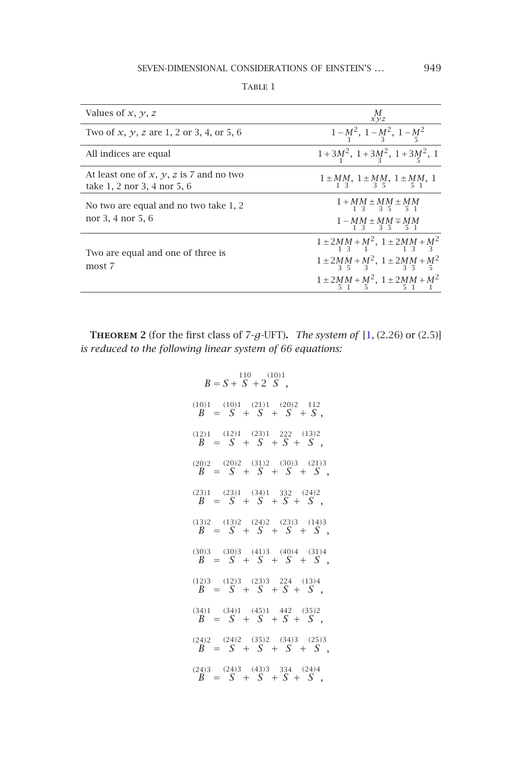### <span id="page-2-0"></span>SEVEN-DIMENSIONAL CONSIDERATIONS OF EINSTEIN'S ... 949

| Values of $x, y, z$                                                      | М<br>xyz                                                                                                                                                            |
|--------------------------------------------------------------------------|---------------------------------------------------------------------------------------------------------------------------------------------------------------------|
| Two of x, y, z are 1, 2 or 3, 4, or 5, 6                                 | $1-M^2$ , $1-M^2$ , $1-M^2$                                                                                                                                         |
| All indices are equal                                                    | $1+3M^2$ , $1+3M^2$ , $1+3M^2$ , 1                                                                                                                                  |
| At least one of $x, y, z$ is 7 and no two<br>take 1, 2 nor 3, 4 nor 5, 6 | $1 \pm MM$ , $1 \pm MM$ , $1 \pm MM$ , $1 \pm MM$ , 1                                                                                                               |
| No two are equal and no two take 1, 2<br>nor 3, 4 nor 5, 6               | $1+MM+MM+MM$<br>13 35 51<br>$1 - MM \pm MM \mp MM$<br>1 3 3 5<br>5 1                                                                                                |
| Two are equal and one of three is<br>most 7                              | $1 \pm 2MM + M^2$ , $1 \pm 2MM + M^2$<br>$1\overline{3}$<br>$1 \pm 2MM + M^2$ , $1 \pm 2MM + M^2$<br>$3 \frac{1}{3} \pm 3$<br>$1 \pm 2MM + M^2$ , $1 \pm 2MM + M^2$ |

**THEOREM 2** (for the first class of  $7-g$ -UFT). *The system of*  $[1, (2.26)$  or  $(2.5)]$ *is reduced to the following linear system of 66 equations:*

$$
B = S + S + 2 S ,
$$
\n
$$
B = S + S + 2 S ,
$$
\n
$$
B = S + S + S + S + S ,
$$
\n
$$
B = S + S + S + S + S ,
$$
\n
$$
B = S + S + S + S + S ,
$$
\n
$$
B = S + S + S + S + S ,
$$
\n
$$
B = S + S + S + S + S ,
$$
\n
$$
B = S + S + S + S + S ,
$$
\n
$$
B = S + S + S + S + S ,
$$
\n
$$
B = S + S + S + S + S ,
$$
\n
$$
B = S + S + S + S + S ,
$$
\n
$$
B = S + S + S + S + S ,
$$
\n
$$
B = S + S + S + S + S ,
$$
\n
$$
B = S + S + S + S + S ,
$$
\n
$$
B = S + S + S + S + S ,
$$
\n
$$
B = S + S + S + S + S ,
$$
\n
$$
B = S + S + S + S + S ,
$$
\n
$$
B = S + S + S + S + S ,
$$
\n
$$
B = S + S + S + S + S ,
$$
\n
$$
B = S + S + S + S + S ,
$$
\n
$$
B = S + S + S + S + S ,
$$
\n
$$
B = S + S + S + S + S ,
$$
\n
$$
B = S + S + S + S + S ,
$$
\n
$$
B = S + S + S + S + S ,
$$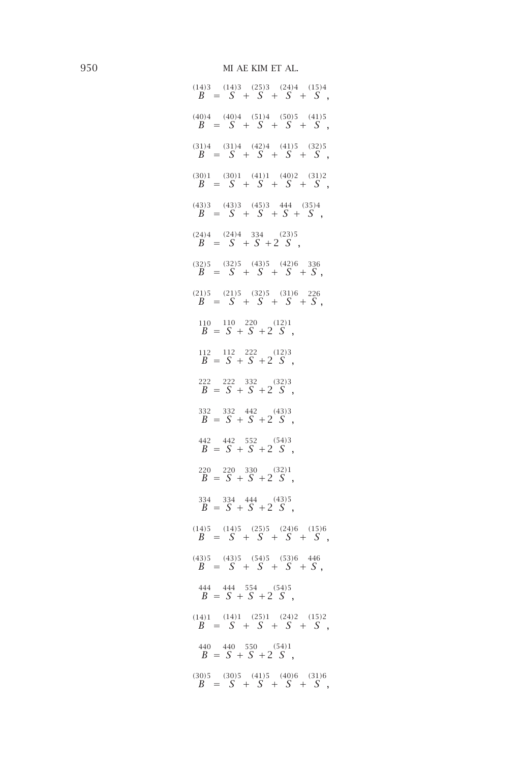$(B^{(14)3} = S^3 +$  $\binom{25}{5}$ *S* <sup>+</sup>  $\binom{24}{C}$ *S* <sup>+</sup>  $(15)4$ <sup> $\frac{1}{2}$ </sup> *S ,*  $\binom{(40)}{B}$  =  $\binom{(40)}{S}$  +  $(51)4$ *S* <sup>+</sup> *(*50*)*<sup>5</sup> *S* <sup>+</sup>  $\frac{(41)5}{5}$ *S ,*  $\binom{(31)}{B} = \binom{(31)}{S} +$  $\frac{(42)4}{C}$ *S* <sup>+</sup>  $\frac{(41)5}{c}$ *S* <sup>+</sup>  $\binom{(32)}{C}$ *S ,*  $\binom{(30)}{B} = \binom{(30)}{S} +$  $(41)1$ *S* <sup>+</sup>  $(40)2$ *S* <sup>+</sup> *(*31*)*<sup>2</sup> *S ,*  $\binom{(43)}{B} = \binom{(43)}{S} +$  $\frac{(45)}{C}$ *S* <sup>+</sup> 444 *S* <sup>+</sup>  $\frac{(35)4}{C}$ *S ,*  $B^{(24)4} = \frac{(24)4}{S}$  $S^{334} + 2 S^{(23)5}$ *S ,*  $B^{(32)5} = S^{(32)5} +$  $\frac{(43)5}{C}$ *S* <sup>+</sup>  $\frac{(42)}{S}$ *S* <sup>+</sup> 336 *S ,*  $\binom{(21)}{B} = \binom{(21)}{S} +$ *(*32*)*<sup>5</sup> *S* <sup>+</sup> *(*31*)*<sup>6</sup> *S* <sup>+</sup> 226 *S ,*  $\frac{110}{B} = \frac{110}{S} +$  $S^{220}$  + 2<sup>(12)1</sup><br> $S$ *S ,*  $\frac{112}{B} = \frac{112}{S} +$  $S^{222} + 2^{(12)3}$ *S ,*  $\frac{222}{B} = \frac{222}{S} +$  $S^{332} + 2 S^{(32)3}$ *S ,*  $\frac{332}{B} = \frac{332}{S} +$  $\frac{(43)}{S}$  + 2  $\frac{(43)}{S}$ *S ,*  $\frac{442}{B} = \frac{442}{S} +$  $S^{552}$  + 2  $S^{(54)3}$ *S ,*  $\frac{220}{B} = \frac{220}{S} +$  $S^{330} + 2 S^{(32)1}$ *S ,*  $\frac{334}{B} = \frac{334}{S} +$  $rac{444}{S} + 2\frac{(43)5}{S}$ *S ,*  $\binom{(14)}{B} = \binom{(14)}{S} +$  $\binom{25}{5}$ *S* <sup>+</sup>  $\binom{24}{5}$ *S* <sup>+</sup>  $(15)6$ <br> **C** *S ,*  $\binom{(43)}{B} = \binom{(43)}{S} +$  $(54)5$ *S* <sup>+</sup> *(*53*)*<sup>6</sup> *S* <sup>+</sup> 446 *S ,*  $\frac{444}{B} = \frac{444}{S} +$  $S^{554}$  + 2  $S^{(54)5}$ *S ,*  $\binom{(14)}{B} = \binom{(14)}{S} +$  $\frac{(25)}{C}$ *S* <sup>+</sup>  $\binom{24}{5}$ *S* <sup>+</sup>  $\frac{(15)}{C}$ *S ,*  $\frac{440}{B} = \frac{440}{S} +$  $S^{550}$  (54)<sup>1</sup><br> $S + 2S$ *S ,*  $\binom{(30)}{B} = \binom{(30)}{S} +$  $(41)5$  $(40)6$ <sup>c</sup> *(*31*)*<sup>6</sup>

*S* <sup>+</sup>

*S* <sup>+</sup>

*S ,*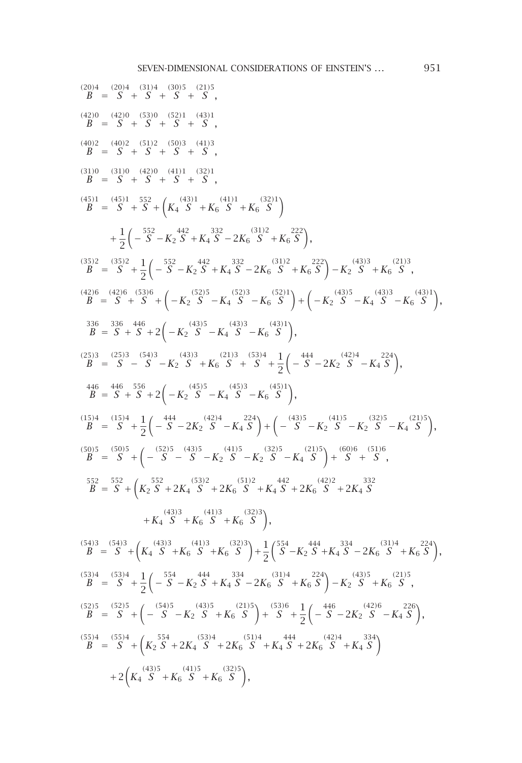$B^{(20)4} = S^{(20)4} +$ *(*31*)*<sup>4</sup> *S* <sup>+</sup> *(*30*)*<sup>5</sup> *S* <sup>+</sup> *(*21*)*<sup>5</sup> *S ,*  $\binom{(42)}{B} = \binom{(42)}{S} +$ *(*53*)*<sup>0</sup> *S* <sup>+</sup>  $(52)1$ *S* <sup>+</sup>  $(43)1$ *S ,*  $\binom{(40)}{B} = \binom{(40)}{S} +$ *(*51*)*<sup>2</sup> *S* <sup>+</sup> *(*50*)*<sup>3</sup> *S* <sup>+</sup> *(*41*)*<sup>3</sup> *S ,*  $\binom{(31)}{B} = \binom{(31)}{S} +$  $\frac{(42)0}{c}$ *S* <sup>+</sup>  $\frac{(41)1}{c}$ *S* <sup>+</sup>  $\frac{(32)}{C}$ *S ,*  $\binom{(45)}{B} = \binom{(45)}{S} +$ 552  $S^{52} + ($ *K*4  $\frac{(43)1}{6}$ *<sup>S</sup>* <sup>+</sup>*K*<sup>6</sup> *(*41*)*<sup>1</sup> *<sup>S</sup>* <sup>+</sup>*K*<sup>6</sup>  $\binom{(32)}{S}$  $\setminus$ + 1 2 − 552 *<sup>S</sup>* <sup>−</sup>*K*<sup>2</sup> 442 *<sup>S</sup>* <sup>+</sup>*K*<sup>4</sup>  $S^{332} - 2K_6 \overline{S}$ *<sup>S</sup>* <sup>+</sup>*K*<sup>6</sup> 222  $\setminus$ *,*  $\binom{(35)}{B} = \binom{(35)}{S} +$ 1 2 − 552 *<sup>S</sup>* <sup>−</sup>*K*<sup>2</sup> 442 *<sup>S</sup>* <sup>+</sup>*K*<sup>4</sup>  $S^{332} - 2K_6 \overline{S}$ *<sup>S</sup>* <sup>+</sup>*K*<sup>6</sup> 222  $-$ *K*<sub>2</sub>  $(43)3$ *<sup>S</sup>* <sup>+</sup>*K*<sup>6</sup> *(*21*)*<sup>3</sup> *S ,*  $\frac{(42)}{R}$  $B =$  $(42)6$ *S* <sup>+</sup> *(*53*)*<sup>6</sup>  $S^{(3)6}$  +  $\left(-K_2\right)$ *(*52*)*<sup>5</sup> *<sup>S</sup>* <sup>−</sup>*K*<sup>4</sup> *(*52*)*<sup>3</sup> *<sup>S</sup>* <sup>−</sup>*K*<sup>6</sup>  $\binom{(52)}{C}$  $+(-K_2$  $(43)5$ *<sup>S</sup>* <sup>−</sup>*K*<sup>4</sup> *(*43*)*<sup>3</sup> *<sup>S</sup>* <sup>−</sup>*K*<sup>6</sup>  $\frac{(43)}{C}$  $\setminus$ *,*  $\frac{336}{B} = \frac{336}{S} +$  $\int_{0}^{446} S + 2 \left( -K_{2} \right)$ *(*43*)*<sup>5</sup> *<sup>S</sup>* <sup>−</sup>*K*<sup>4</sup>  $(43)3$ *<sup>S</sup>* <sup>−</sup>*K*<sup>6</sup>  $\frac{(43)}{C}$  $\setminus$ *,*  $\binom{(25)3}{B} = \binom{(25)3}{S}$  $(54)3$ *<sup>S</sup>* <sup>−</sup>*K*<sup>2</sup>  $(43)3$ *<sup>S</sup>* <sup>+</sup>*K*<sup>6</sup>  $(21)3$ *S* <sup>+</sup>  $(53)4$ *S* <sup>+</sup> 1 2  $\Big($  –  $\int_{0}^{444} S - 2K_2 \int_{0}^{424} S$ *<sup>S</sup>* <sup>−</sup>*K*<sup>4</sup> 224  $\setminus$ *,*  $\frac{446}{B} = \frac{446}{S} +$  $S^{556}$  + 2 $\left(-K_2\right)$  $(45)5$ *<sup>S</sup>* <sup>−</sup>*K*<sup>4</sup>  $(45)3$ *<sup>S</sup>* <sup>−</sup>*K*<sup>6</sup>  $(45)1$  $\setminus$ *,*  $(B^{(15)4} = S^4 +$ 1 2 −  $\int_{0}^{444} S - 2K_2 \int_{0}^{424} S$ *<sup>S</sup>* <sup>−</sup>*K*<sup>4</sup> 224  $+(-\int_{0}^{(43)5}$ *<sup>S</sup>* <sup>−</sup>*K*<sup>2</sup>  $(41)5$ *<sup>S</sup>* <sup>−</sup>*K*<sup>2</sup> *(*32*)*<sup>5</sup> *<sup>S</sup>* <sup>−</sup>*K*<sup>4</sup>  $(21)5$  $\setminus$ *,*  $\binom{(50)}{B} = \binom{(50)}{S} + \left(-\frac{(52)}{S}\right)$ *S* <sup>−</sup>  $(43)5$ *<sup>S</sup>* <sup>−</sup>*K*<sup>2</sup>  $(41)5$ *<sup>S</sup>* <sup>−</sup>*K*<sup>2</sup> *(*32*)*<sup>5</sup> *<sup>S</sup>* <sup>−</sup>*K*<sup>4</sup>  $(21)5$  $+$   $(S^{(60)6})$ *S* <sup>+</sup> *(*51*)*<sup>6</sup> *S ,*  $\frac{552}{B} = \frac{552}{S} + ($ *K*2  $S^{552}$  + 2 $K_4$   $S^{(53)2}$  + 2 $K_6$   $S^{(51)2}$ *<sup>S</sup>* <sup>+</sup>*K*<sup>4</sup>  $\frac{(42)}{S}$  + 2*K*<sub>6</sub>  $\frac{(42)}{S}$  + 2*K*<sub>4</sub>  $\frac{332}{S}$ <sup>+</sup>*K*<sup>4</sup>  $(43)3$ *<sup>S</sup>* <sup>+</sup>*K*<sup>6</sup> *(*41*)*<sup>3</sup> *<sup>S</sup>* <sup>+</sup>*K*<sup>6</sup> *(*32*)*<sup>3</sup>  $\setminus$ *,*  $\frac{(54)}{R}$  $B =$  $\binom{54}{5}$  $S^{4}$  +  $($ *K*4 *(*43*)*<sup>3</sup> *<sup>S</sup>* <sup>+</sup>*K*<sup>6</sup> *(*41*)*<sup>3</sup> *<sup>S</sup>* <sup>+</sup>*K*<sup>6</sup> *(*32*)*<sup>3</sup>  $+$ 1 2  $\int_{0}^{554}$ *<sup>S</sup>* <sup>−</sup>*K*<sup>2</sup> 444 *<sup>S</sup>* <sup>+</sup>*K*<sup>4</sup>  $S^{334} - 2K_6 \overline{S}$ *<sup>S</sup>* <sup>+</sup>*K*<sup>6</sup> 224  $\setminus$ *,*  $\binom{(53)}{B}$  =  $\binom{(53)}{S}$  + 1 2 − 554 *<sup>S</sup>* <sup>−</sup>*K*<sup>2</sup> 444 *<sup>S</sup>* <sup>+</sup>*K*<sup>4</sup>  $S^{334} - 2K_6 \overline{S}$ *<sup>S</sup>* <sup>+</sup>*K*<sup>6</sup> 224  $-$ *K*<sub>2</sub>  $\frac{(43)5}{5}$ *<sup>S</sup>* <sup>+</sup>*K*<sup>6</sup> *(*21*)*<sup>5</sup> *S ,*  $\binom{52}{5}$  =  $\binom{52}{5}$  +  $\binom{54}{5}$ *<sup>S</sup>* <sup>−</sup>*K*<sup>2</sup> *(*43*)*<sup>5</sup> *<sup>S</sup>* <sup>+</sup>*K*<sup>6</sup>  $\binom{21}{5}$  $+ S^{(53)6}$ *S* <sup>+</sup> 1 2  $\Big($  –  $\int_{0}^{446} S - 2K_2 \int_{0}^{426}$ *<sup>S</sup>* <sup>−</sup>*K*<sup>4</sup> 226  $\setminus$ *,*  $\binom{(55)}{B} = \binom{(55)}{S} + \binom{(55)}{S}$ *K*2  $S^{554}$  + 2 $K_4$   $S^{(53)4}$  + 2 $K_6$   $S^{(51)4}$ *<sup>S</sup>* <sup>+</sup>*K*<sup>4</sup>  $\frac{444}{S} + 2K_6 \frac{(42)}{S}$ *<sup>S</sup>* <sup>+</sup>*K*<sup>4</sup> 334  $\setminus$  $+2($ *K*4 *(*43*)*<sup>5</sup> *<sup>S</sup>* <sup>+</sup>*K*<sup>6</sup> *(*41*)*<sup>5</sup> *<sup>S</sup>* <sup>+</sup>*K*<sup>6</sup> *(*32*)*<sup>5</sup>  $\setminus$ *,*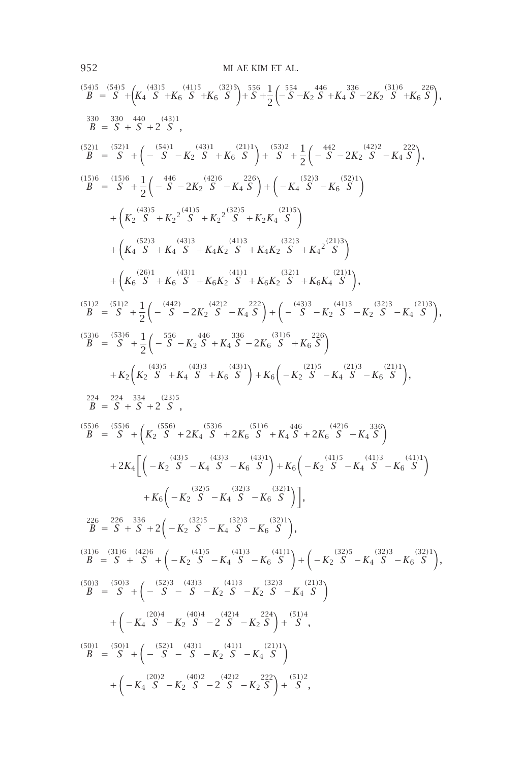*(*54*)*<sup>5</sup> *B* <sup>=</sup> *(*54*)*<sup>5</sup> *S* <sup>+</sup> *K*4 *(*43*)*<sup>5</sup> *<sup>S</sup>* <sup>+</sup>*K*<sup>6</sup> *(*41*)*<sup>5</sup> *<sup>S</sup>* <sup>+</sup>*K*<sup>6</sup> *(*32*)*<sup>5</sup> + 556 *S* <sup>+</sup> 1 2 − 554 *<sup>S</sup>* <sup>−</sup>*K*<sup>2</sup> 446 *<sup>S</sup>* <sup>+</sup>*K*<sup>4</sup> 336 *<sup>S</sup>* <sup>−</sup>2*K*<sup>2</sup> *(*31*)*<sup>6</sup> *<sup>S</sup>* <sup>+</sup>*K*<sup>6</sup> 226 *,* 330 *B* <sup>=</sup> <sup>330</sup> *S* <sup>+</sup> 440 *S* <sup>+</sup><sup>2</sup> *(*43*)*<sup>1</sup> *S , (*52*)*<sup>1</sup> *B* <sup>=</sup> *(*52*)*<sup>1</sup> *S* <sup>+</sup> − *(*54*)*<sup>1</sup> *<sup>S</sup>* <sup>−</sup>*K*<sup>2</sup> *(*43*)*<sup>1</sup> *<sup>S</sup>* <sup>+</sup>*K*<sup>6</sup> *(*21*)*<sup>1</sup> + *(*53*)*<sup>2</sup> *S* <sup>+</sup> 1 2 − 442 *<sup>S</sup>* <sup>−</sup>2*K*<sup>2</sup> *(*42*)*<sup>2</sup> *<sup>S</sup>* <sup>−</sup>*K*<sup>4</sup> 222 *, (*15*)*<sup>6</sup> *B* <sup>=</sup> *(*15*)*<sup>6</sup> *S* <sup>+</sup> 1 2 − 446 *<sup>S</sup>* <sup>−</sup>2*K*<sup>2</sup> *(*42*)*<sup>6</sup> *<sup>S</sup>* <sup>−</sup>*K*<sup>4</sup> 226 + <sup>−</sup>*K*<sup>4</sup> *(*52*)*<sup>3</sup> *<sup>S</sup>* <sup>−</sup>*K*<sup>6</sup> *(*52*)*<sup>1</sup> + *K*2 *(*43*)*<sup>5</sup> *<sup>S</sup>* <sup>+</sup>*K*<sup>2</sup> 2 *(*41*)*<sup>5</sup> *<sup>S</sup>* <sup>+</sup>*K*<sup>2</sup> 2 *(*32*)*<sup>5</sup> *<sup>S</sup>* <sup>+</sup>*K*2*K*<sup>4</sup> *(*21*)*<sup>5</sup> + *K*4 *(*52*)*<sup>3</sup> *<sup>S</sup>* <sup>+</sup>*K*<sup>4</sup> *(*43*)*<sup>3</sup> *<sup>S</sup>* <sup>+</sup>*K*4*K*<sup>2</sup> *(*41*)*<sup>3</sup> *<sup>S</sup>* <sup>+</sup>*K*4*K*<sup>2</sup> *(*32*)*<sup>3</sup> *<sup>S</sup>* <sup>+</sup>*K*<sup>4</sup> 2 *(*21*)*<sup>3</sup> + *K*6 *(*26*)*<sup>1</sup> *<sup>S</sup>* <sup>+</sup>*K*<sup>6</sup> *(*43*)*<sup>1</sup> *<sup>S</sup>* <sup>+</sup>*K*6*K*<sup>2</sup> *(*41*)*<sup>1</sup> *<sup>S</sup>* <sup>+</sup>*K*6*K*<sup>2</sup> *(*32*)*<sup>1</sup> *<sup>S</sup>* <sup>+</sup>*K*6*K*<sup>4</sup> *(*21*)*<sup>1</sup> *, (*51*)*<sup>2</sup> *B* <sup>=</sup> *(*51*)*<sup>2</sup> *S* <sup>+</sup> 1 2 − *(*442*) <sup>S</sup>* <sup>−</sup>2*K*<sup>2</sup> *(*42*)*<sup>2</sup> *<sup>S</sup>* <sup>−</sup>*K*<sup>4</sup> 222 + − *(*43*)*<sup>3</sup> *<sup>S</sup>* <sup>−</sup>*K*<sup>2</sup> *(*41*)*<sup>3</sup> *<sup>S</sup>* <sup>−</sup>*K*<sup>2</sup> *(*32*)*<sup>3</sup> *<sup>S</sup>* <sup>−</sup>*K*<sup>4</sup> *(*21*)*<sup>3</sup> *, (*53*)*<sup>6</sup> *B* <sup>=</sup> *(*53*)*<sup>6</sup> *S* <sup>+</sup> 1 2 − 556 *<sup>S</sup>* <sup>−</sup>*K*<sup>2</sup> 446 *<sup>S</sup>* <sup>+</sup>*K*<sup>4</sup> 336 *<sup>S</sup>* <sup>−</sup>2*K*<sup>6</sup> *(*31*)*<sup>6</sup> *<sup>S</sup>* <sup>+</sup>*K*<sup>6</sup> 226 <sup>+</sup>*K*<sup>2</sup> *K*2 *(*43*)*<sup>5</sup> *<sup>S</sup>* <sup>+</sup>*K*<sup>4</sup> *(*43*)*<sup>3</sup> *<sup>S</sup>* <sup>+</sup>*K*<sup>6</sup> *(*43*)*<sup>1</sup> <sup>+</sup>*K*<sup>6</sup> <sup>−</sup>*K*<sup>2</sup> *(*21*)*<sup>5</sup> *<sup>S</sup>* <sup>−</sup>*K*<sup>4</sup> *(*21*)*<sup>3</sup> *<sup>S</sup>* <sup>−</sup>*K*<sup>6</sup> *(*21*)*<sup>1</sup> *,* 224 *B* <sup>=</sup> <sup>224</sup> *S* <sup>+</sup> 334 *S* <sup>+</sup><sup>2</sup> *(*23*)*<sup>5</sup> *S , (*55*)*<sup>6</sup> *B* <sup>=</sup> *(*55*)*<sup>6</sup> *S* <sup>+</sup> *K*2 *(*556*) <sup>S</sup>* <sup>+</sup>2*K*<sup>4</sup> *(*53*)*<sup>6</sup> *<sup>S</sup>* <sup>+</sup>2*K*<sup>6</sup> *(*51*)*<sup>6</sup> *<sup>S</sup>* <sup>+</sup>*K*<sup>4</sup> 446 *<sup>S</sup>* <sup>+</sup>2*K*<sup>6</sup> *(*42*)*<sup>6</sup> *<sup>S</sup>* <sup>+</sup>*K*<sup>4</sup> 336 <sup>+</sup>2*K*<sup>4</sup> −*K*<sup>2</sup> *(*43*)*<sup>5</sup> *<sup>S</sup>* <sup>−</sup>*K*<sup>4</sup> *(*43*)*<sup>3</sup> *<sup>S</sup>* <sup>−</sup>*K*<sup>6</sup> *(*43*)*<sup>1</sup> <sup>+</sup>*K*<sup>6</sup> <sup>−</sup>*K*<sup>2</sup> *(*41*)*<sup>5</sup> *<sup>S</sup>* <sup>−</sup>*K*<sup>4</sup> *(*41*)*<sup>3</sup> *<sup>S</sup>* <sup>−</sup>*K*<sup>6</sup> *(*41*)*<sup>1</sup> <sup>+</sup>*K*<sup>6</sup> <sup>−</sup>*K*<sup>2</sup> *(*32*)*<sup>5</sup> *<sup>S</sup>* <sup>−</sup>*K*<sup>4</sup> *(*32*)*<sup>3</sup> *<sup>S</sup>* <sup>−</sup>*K*<sup>6</sup> *(*32*)*<sup>1</sup> *,* 226 *B* <sup>=</sup> <sup>226</sup> *S* <sup>+</sup> 336 *S* <sup>+</sup><sup>2</sup> <sup>−</sup>*K*<sup>2</sup> *(*32*)*<sup>5</sup> *<sup>S</sup>* <sup>−</sup>*K*<sup>4</sup> *(*32*)*<sup>3</sup> *<sup>S</sup>* <sup>−</sup>*K*<sup>6</sup> *(*32*)*<sup>1</sup> *, (*31*)*<sup>6</sup> *B* <sup>=</sup> *(*31*)*<sup>6</sup> *S* <sup>+</sup> *(*42*)*<sup>6</sup> *S* <sup>+</sup> <sup>−</sup>*K*<sup>2</sup> *(*41*)*<sup>5</sup> *<sup>S</sup>* <sup>−</sup>*K*<sup>4</sup> *(*41*)*<sup>3</sup> *<sup>S</sup>* <sup>−</sup>*K*<sup>6</sup> *(*41*)*<sup>1</sup> + <sup>−</sup>*K*<sup>2</sup> *(*32*)*<sup>5</sup> *<sup>S</sup>* <sup>−</sup>*K*<sup>4</sup> *(*32*)*<sup>3</sup> *<sup>S</sup>* <sup>−</sup>*K*<sup>6</sup> *(*32*)*<sup>1</sup> *, (*50*)*<sup>3</sup> *B* <sup>=</sup> *(*50*)*<sup>3</sup> *S* <sup>+</sup> − *(*52*)*<sup>3</sup> *S* <sup>−</sup> *(*43*)*<sup>3</sup> *<sup>S</sup>* <sup>−</sup>*K*<sup>2</sup> *(*41*)*<sup>3</sup> *<sup>S</sup>* <sup>−</sup>*K*<sup>2</sup> *(*32*)*<sup>3</sup> *<sup>S</sup>* <sup>−</sup>*K*<sup>4</sup> *(*21*)*<sup>3</sup> + <sup>−</sup>*K*<sup>4</sup> *(*20*)*<sup>4</sup> *<sup>S</sup>* <sup>−</sup>*K*<sup>2</sup> *(*40*)*<sup>4</sup> *S* <sup>−</sup><sup>2</sup> *(*42*)*<sup>4</sup> *<sup>S</sup>* <sup>−</sup>*K*<sup>2</sup> 224 + *(*51*)*<sup>4</sup> *S , (*50*)*<sup>1</sup> *B* <sup>=</sup> *(*50*)*<sup>1</sup> *S* <sup>+</sup> − *(*52*)*<sup>1</sup> *S* <sup>−</sup> *(*43*)*<sup>1</sup> *<sup>S</sup>* <sup>−</sup>*K*<sup>2</sup> *(*41*)*<sup>1</sup> *<sup>S</sup>* <sup>−</sup>*K*<sup>4</sup> *(*21*)*<sup>1</sup> + <sup>−</sup>*K*<sup>4</sup> *(*20*)*<sup>2</sup> *<sup>S</sup>* <sup>−</sup>*K*<sup>2</sup> *(*40*)*<sup>2</sup> *S* <sup>−</sup><sup>2</sup> *(*42*)*<sup>2</sup> *<sup>S</sup>* <sup>−</sup>*K*<sup>2</sup> 222 + *(*51*)*<sup>2</sup> *S ,*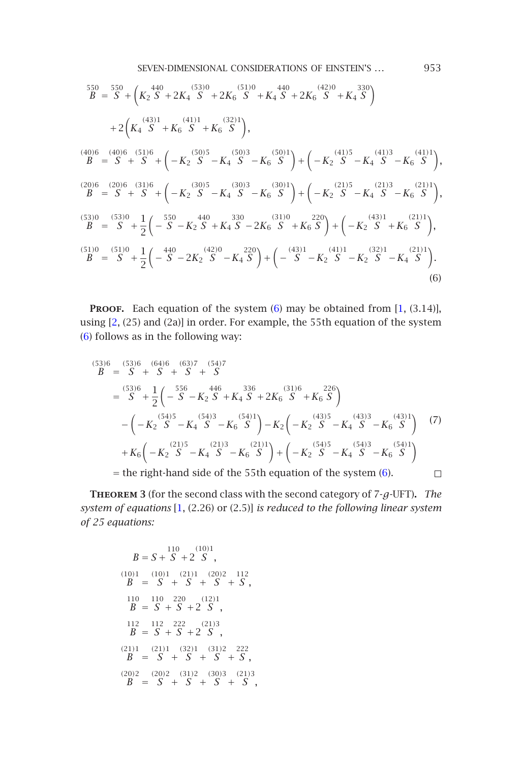SEVEN-DIMENSIONAL CONSIDERATIONS OF EINSTEIN'S ... 953  $\frac{550}{B} = \frac{550}{S} + ($ *K*2  $S^{(51)} + 2K_4 S^{(53)} + 2K_6 S^{(51)}$ *<sup>S</sup>* <sup>+</sup>*K*<sup>4</sup>  $\frac{440}{S} + 2K_6 \frac{(42)0}{S}$ *<sup>S</sup>* <sup>+</sup>*K*<sup>4</sup> 330  $\setminus$  $+2($ *K*4  $\frac{(43)1}{6}$ *<sup>S</sup>* <sup>+</sup>*K*<sup>6</sup> *(*41*)*<sup>1</sup> *<sup>S</sup>* <sup>+</sup>*K*<sup>6</sup>  $\binom{(32)}{S}$  $\setminus$ *,*  $\frac{(40)}{R}$ *B* <sup>=</sup>  $(40)6$ <sup>c</sup> *S* <sup>+</sup> *(*51*)*<sup>6</sup>  $S^{(1)6}$  +  $\left(-K_2\right)$ *(*50*)*<sup>5</sup> *<sup>S</sup>* <sup>−</sup>*K*<sup>4</sup> *(*50*)*<sup>3</sup> *<sup>S</sup>* <sup>−</sup>*K*<sup>6</sup>  $(50)1$  $+(-K_2$ *(*41*)*<sup>5</sup> *<sup>S</sup>* <sup>−</sup>*K*<sup>4</sup> *(*41*)*<sup>3</sup> *<sup>S</sup>* <sup>−</sup>*K*<sup>6</sup> *(*41*)*<sup>1</sup>  $\setminus$ *,*  $\frac{(20)}{R}$ *B* <sup>=</sup> *(*20*)*<sup>6</sup> *[S](#page-11-0)* <sup>+</sup> *(*31*)*<sup>6</sup>  $S^{(1)6}$  +  $\left(-K_2\right)$ *(*30*)*<sup>5</sup> *<sup>S</sup>* <sup>−</sup>*K*<sup>4</sup> *(*30*)*<sup>3</sup> *<sup>S</sup>* <sup>−</sup>*K*<sup>6</sup> *(*[30](#page-6-0)*)*<sup>1</sup>  $+(-K_2$  $(21)5$ *<sup>S</sup>* <sup>−</sup>*K*<sup>4</sup>  $(21)3$ *<sup>S</sup>* [−](#page-11-1)*K*<sup>6</sup>  $\binom{21}{C}$  $\setminus$ *,*  $\binom{(53)}{B} = \binom{(53)}{S} +$  $\binom{(53)}{B} = \binom{(53)}{S} +$  $\binom{(53)}{B} = \binom{(53)}{S} +$ 1 2 − 550 *<sup>S</sup>* <sup>−</sup>*K*<sup>2</sup> 440 *<sup>S</sup>* <sup>+</sup>*K*<sup>4</sup>  $S^{330} - 2K_6 \overline{S}$ *<sup>S</sup>* <sup>+</sup>*K*<sup>6</sup> 220  $+(-K_2$  $\frac{(43)}{S}$ *<sup>S</sup>* <sup>+</sup>*K*<sup>6</sup>  $\frac{(21)1}{C}$  $\setminus$ *,*  $\binom{(51)}{B} = \binom{(51)}{S} +$ 1 2 −  $\int_{0}^{440} S - 2K_2 \int_{0}^{420}$ *<sup>S</sup>* <sup>−</sup>*K*<sup>4</sup> 220  $+(-\int_{0}^{(43)1}$ *<sup>S</sup>* <sup>−</sup>*K*<sup>2</sup>  $\frac{(41)1}{6}$ *<sup>S</sup>* <sup>−</sup>*K*<sup>2</sup> *(*32*)*<sup>1</sup> *<sup>S</sup>* <sup>−</sup>*K*<sup>4</sup>  $\frac{(21)1}{C}$  $\setminus$ (6)

**PROOF.** Each equation of the system (6) may be obtained from [1, (3.14)], using [2, (25) and (2a)] in order. For example, the 55th equation of the system (6) follows as in the following way:

$$
B = S + S + S + S
$$
\n
$$
= S - \frac{53}{6} + \frac{1}{2} \left( -S - K_2 S + K_4 S + 2K_6 \frac{336}{5} + K_6 S \right)
$$
\n
$$
= \left( -K_2 \frac{536}{5} - K_4 \frac{446}{5} - K_6 \frac{336}{5} \right) - K_2 \left( -K_2 \frac{433}{5} - K_4 \frac{433}{5} - K_6 \frac{4331}{5} \right) \tag{7}
$$
\n
$$
+ K_6 \left( -K_2 \frac{2135}{5} - K_4 \frac{2133}{5} - K_6 \frac{2131}{5} \right) + \left( -K_2 \frac{5435}{5} - K_4 \frac{5433}{5} - K_6 \frac{5413}{5} \right)
$$
\n
$$
= \text{the right-hand side of the 55th equation of the system (6).}
$$

**Theorem <sup>3</sup>** (for the second class with the second category of 7-*g*-UFT)**.** *The system of equations* [1, (2.26) or (2.5)] *is reduced to the following linear system of 25 equations:*

$$
B = S + S + 2 S ,
$$
  
\n(10)1 (10)1 (21)1 (20)2 112  
\n
$$
B = S + S + S + S + S ,
$$
  
\n110 110 220 (12)1  
\n
$$
B = S + S + 2 S ,
$$
  
\n112 112 222 (21)3  
\n
$$
B = S + S + 2 S ,
$$
  
\n(21)1 (32)1 (31)2 222  
\n
$$
B = S + S + S + S ,
$$
  
\n(20)2 (20)2 (31)2 (30)3 (21)3  
\n
$$
B = S + S + S + S ,
$$

<span id="page-6-0"></span>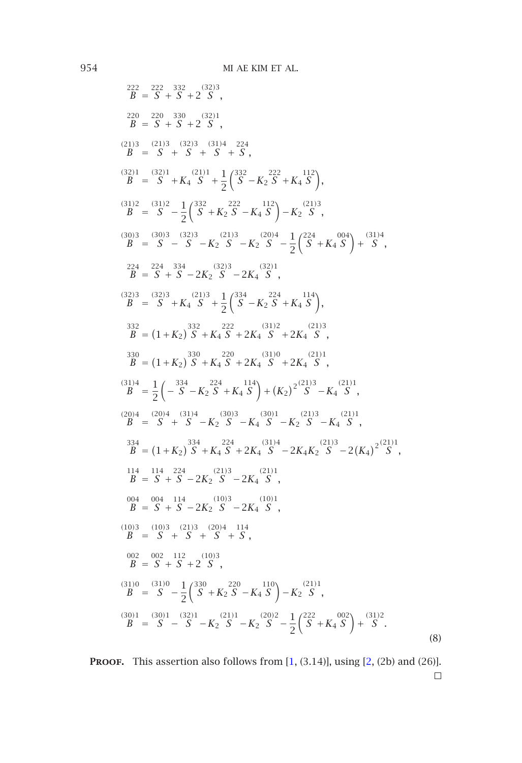$$
B = \begin{pmatrix} 222 & 332 & 332 & 332 \\ 25 & 222 & 330 & 321 \\ 25 & 25 & 5 & 5 & 25 \\ 25 & 25 & 5 & 5 & 5 \\ 21 & 3 & 3 & 3 & 3 & 34 & 224 \\ 25 & 25 & 5 & 5 & 5 & 5 \\ 22 & 3 & 3 & 3 & 3 & 34 & 224 \\ 25 & 25 & 5 & 5 & 5 & 5 \\ 25 & 25 & 5 & 5 & 5 & 5 \\ 25 & 25 & 5 & 5 & 5 & 5 \\ 25 & 25 & 5 & 5 & 5 & 5 \\ 25 & 25 & 5 & 5 & 5 \\ 25 & 25 & 5 & 5 & 5 \\ 25 & 25 & 5 & 5 & 5 \\ 25 & 25 & 5 & 5 & 5 \\ 25 & 25 & 5 & 5 & 5 \\ 25 & 25 & 25 & 5 & 5 \\ 25 & 25 & 25 & 5 & 5 \\ 25 & 25 & 25 & 5 & 5 \\ 25 & 25 & 25 & 5 & 5 \\ 25 & 25 & 25 & 5 & 5 \\ 25 & 25 & 25 & 5 & 5 \\ 25 & 25 & 25 & 5 & 5 \\ 25 & 25 & 25 & 5 & 5 \\ 25 & 25 & 25 & 5 & 5 \\ 25 & 25 & 25 & 5 & 5 \\ 25 & 25 & 25 & 5 & 5 \\ 25 & 25 & 25 & 5 & 5 \\ 25 & 25 & 25 & 5 & 5 \\ 25 & 25 & 25 & 5 & 5 \\ 25 & 25 & 25 & 5 & 5 \\ 25 & 25 & 25 & 5 & 5 \\ 25 & 25 & 25 & 5 & 5 \\ 25 & 25 & 25 & 5 & 5 \\ 25 & 25 & 25 & 5 & 5 \\ 25 & 25 & 25 & 5 & 5 \\ 25 & 25 & 25 & 5 & 5 \\ 25 & 25 & 25 & 5 & 5 \\ 25 & 25 & 25 & 5 & 5 \\ 25 & 25 & 25 & 5 & 5 \\ 25 & 25 & 2
$$

PROOF. This assertion also follows from [1, (3.14)], using [2, (2b) and (26)].  $\Box$ 

<span id="page-7-0"></span>(8)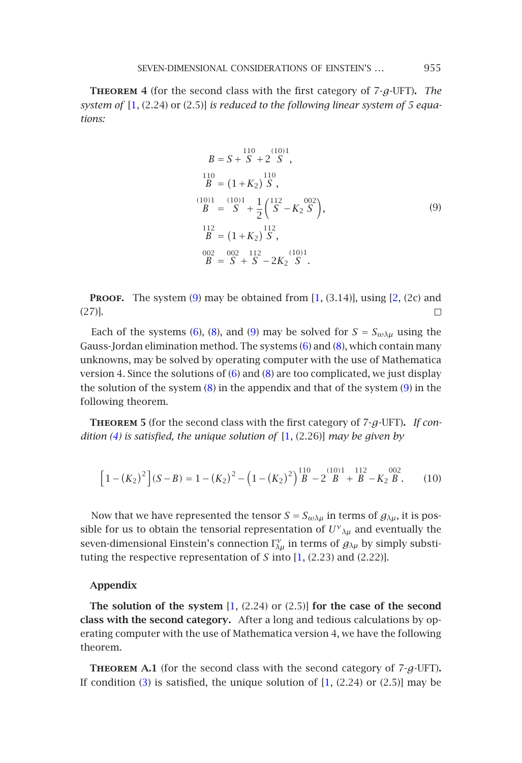#### SEVEN-DIMENSIONAL CONSIDERATIONS OF EINSTEIN'S ... 955

**Theorem <sup>4</sup>** (for the second class with the first category of 7-*g*-UFT)**.** *The system of* [1, (2.24) or (2.5)] *is reduced to the following linear system of 5 equations:*

<span id="page-8-0"></span>
$$
B = S + S + 2'S',
$$
  
\n
$$
{}^{110}_{B} = (1 + K_2)'S',
$$
  
\n
$$
{}^{(10)1}_{B} = {}^{(10)1}_{S} + \frac{1}{2} ({}^{112}_{S} - K_2'S'),
$$
  
\n
$$
{}^{112}_{B} = (1 + K_2)'S',
$$
  
\n
$$
{}^{002}_{002} = {}^{002}_{002} {}^{112}_{112} - 2K_2'S',
$$
  
\n(9)

**PROOF.** The system  $(9)$  may be obtained from  $[1, (3.14)]$ , using  $[2, (2c)$  and (27)].  $\Box$ 

Each of the systems (6), (8), and (9) may be solved for  $S = S_{\omega \lambda \mu}$  using the Gauss-Jordan elimination method. The systems (6) and (8), which contain many unknowns, may be solved by operating computer with the use of Mathematica version 4. Since the solutions of  $(6)$  and  $(8)$  are too complicated, we just display the solution of the system (8) in the appendix and that of the system (9) in the following theorem.

**Theorem <sup>5</sup>** (for the second class with the first category of 7-*g*-UFT)**.** *If condition (4) is satisfied, the unique solution of* [1, [\(2](#page-11-1).26)] *may be given by*

$$
\[1 - (K_2)^2\] (S - B) = 1 - (K_2)^2 - \left(1 - (K_2)^2\right)^{110} \Big|_{B}^{110} - 2\Big|_{B}^{1101} + \Big|_{B}^{112} - \Big|_{B}^{1002}.
$$
 (10)

Now that we have represented the tensor  $S = S_{\omega \lambda \mu}$  in terms of  $g_{\lambda \mu}$ , it is possible for us to obtain the tensorial representation of  $U^{\gamma}{}_{\lambda\mu}$  and eventually the seven-dimensional Einstein's connection  $\Gamma_{\lambda\mu}^{\gamma}$  in terms of  $g_{\lambda\mu}$  by simply substitution the measurement is not *f* into [1, (2, 22) and (2, 22)] tuting the re[sp](#page-1-2)ective representation of *S* into [1, (2.[23](#page-11-1)) and (2.22)].

#### **Appendix**

**The solution of the system** [1, (2.24) or (2.5)] **for the case of the second class with the second category.** After a long and tedious calculations by operating computer with the use of Mathematica version 4, we have the following theorem.

**Theorem A.1** (for the second class with the second category of 7-*g*-UFT)**.** If condition  $(3)$  is satisfied, the unique solution of  $[1, (2.24)$  or  $(2.5)$ ] may be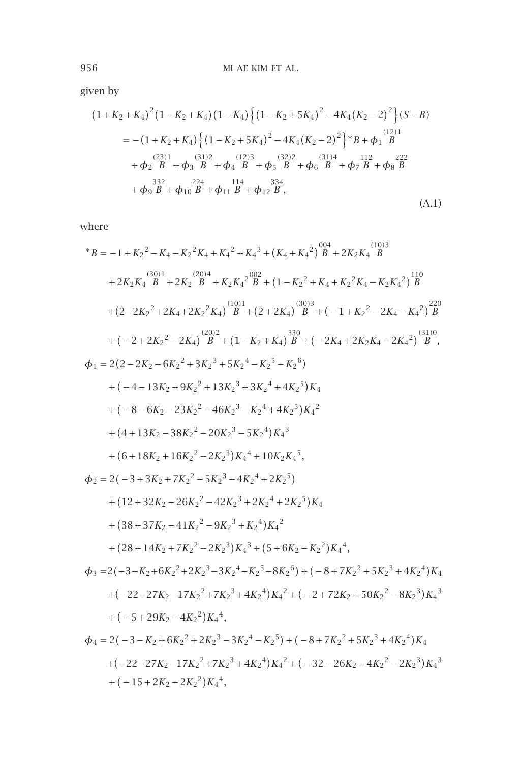given by

$$
(1+K_2+K_4)^2(1-K_2+K_4)(1-K_4)\{(1-K_2+5K_4)^2-4K_4(K_2-2)^2\}(S-B) = -(1+K_2+K_4)\{(1-K_2+5K_4)^2-4K_4(K_2-2)^2\} * B + \phi_1 \overset{(12)1}{B} + \phi_2 \overset{(23)1}{B} + \phi_3 \overset{(31)2}{B} + \phi_4 \overset{(12)3}{B} + \phi_5 \overset{(32)2}{B} + \phi_6 \overset{(31)4}{B} + \phi_7 \overset{112}{B} + \phi_8 \overset{222}{B} + \phi_9 \overset{224}{B} + \phi_{10} \overset{114}{B} + \phi_{11} \overset{334}{B} + \phi_{12} \overset{234}{B},
$$
\n(A.1)

where

\*
$$
B = -1 + K_2{}^2 - K_4 - K_2{}^2 K_4 + K_4{}^2 + K_4{}^3 + (K_4 + K_4{}^2) \frac{004}{B} + 2K_2 K_4{} \frac{(10)3}{B}
$$
  
+
$$
2K_2 K_4{} \frac{(30)1}{B} + 2K_2{} \frac{(20)4}{B} + K_2 K_4{}^2 \frac{002}{B} + (1 - K_2{}^2 + K_4 + K_2{}^2 K_4 - K_2 K_4{}^2) \frac{110}{B}
$$
  
+
$$
(2-2K_2{}^2 + 2K_4 + 2K_2{}^2 K_4) \frac{(10)1}{B} + (2 + 2K_4) \frac{(30)3}{B} + (-1 + K_2{}^2 - 2K_4 - K_4{}^2) \frac{220}{B}
$$
  
+
$$
(-2 + 2K_2{}^2 - 2K_4) \frac{(20)2}{B} + (1 - K_2 + K_4) \frac{330}{B} + (-2K_4 + 2K_2K_4 - 2K_4{}^2) \frac{(310)}{B},
$$
  

$$
\Phi_1 = 2(2 - 2K_2 - 6K_2{}^2 + 3K_2{}^3 + 5K_2{}^4 - K_2{}^5 - K_2{}^6)
$$
  
+
$$
(-4 - 13K_2 + 9K_2{}^2 + 13K_2{}^3 + 3K_2{}^4 + 4K_2{}^5)K_4
$$
  
+
$$
(4 + 13K_2 - 38K_2{}^2 - 20K_2{}^3 - 5K_2{}^4)K_4{}^3
$$
  
+
$$
(6 + 18K_2 + 16K_2{}^2 - 2K_2{}^3)K_4{}^4 + 10K_2K_4{}^5,
$$
  

$$
\Phi_2 = 2(-3 + 3K_2 + 7K_2{}^2 - 5K_2{}^3 - 4K_2{}^4 + 2K_2{}^5)
$$
  
+
$$
(12 + 32K_2 - 26K_2{}^2 - 42K_2{}^3 + 2K_2{}^4 + 2K_2{}^5)K_4
$$
  
+
$$
(38
$$

 $+(-15+2K_2-2K_2^2)K_4^4$ 

*,*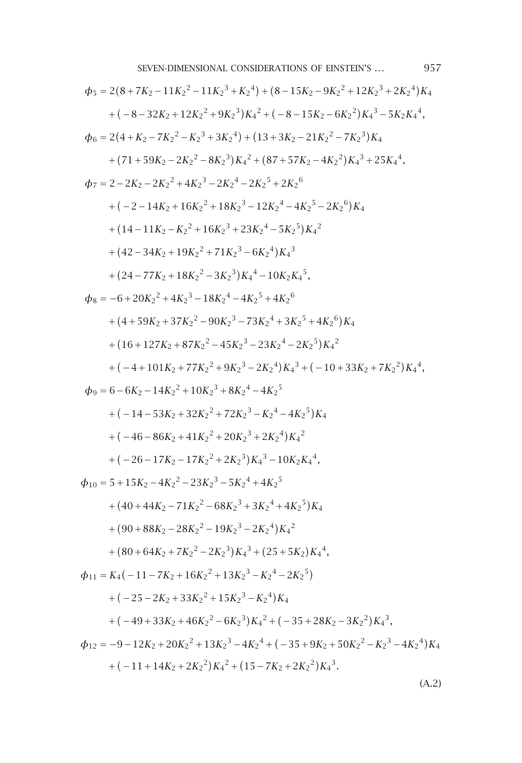$$
\phi_5 = 2(8+7K_2-11K_2^2-11K_2^3+K_2^4)+(8-15K_2-9K_2^2+12K_2^3+2K_2^4)K_4
$$
  
+ (-8-32K\_2+12K\_2^2+9K\_2^3)K\_4^2+(-8-15K\_2-6K\_2^2)K\_4^3-5K\_2K\_4^4,  

$$
\phi_6 = 2(4+K_2-7K_2^2-K_2^3+3K_2^4)+(13+3K_2-21K_2^2-7K_2^3)K_4
$$
  
+ (71+59K\_2-2K\_2^2-8K\_2^3)K\_4^2+(87+57K\_2-4K\_2^2)K\_4^3+25K\_4^4,  

$$
\phi_7 = 2-2K_2-2K_2^2+4K_2^3-2K_2^4-2K_2^5+2K_2^6
$$
  
+ (-2-14K\_2+16K\_2^2+18K\_2^3-12K\_2^4-4K\_2^5-2K\_2^6)K\_4  
+ (14-11K\_2-K\_2^2+16K\_2^3+23K\_2^4-5K\_2^5)K\_4^2  
+ (42-34K\_2+19K\_2^2+71K\_2^3-6K\_2^4)K\_4^3  
+ (24-77K\_2+18K\_2^2-3K\_2^3)K\_4^4-10K\_2K\_4^5,  

$$
\phi_8 = -6+20K_2^2+4K_2^3-18K_2^4-4K_2^5+4K_2^6
$$
  
+ (4+59K\_2+37K\_2^2-90K\_2^3-73K\_2^4+3K\_2^5+4K\_2^6)K\_4  
+ (16+127K\_2+87K\_2^2-45K\_2^3-23K\_2^4+3K\_2^5+4K\_2^6)K\_4  
+ (16+127K\_2+87K\_2^2-45K\_2^3-23K\_2^4+3K\_2^5)K\_4^2  
+ (-4+101K\_2+77K\_2^2+9K\_2^3-2K\_2^4)K\_4^3+(-10+3